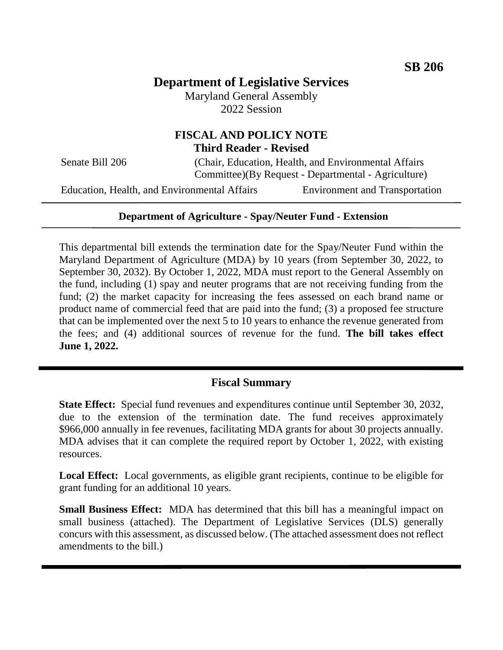# **Department of Legislative Services**

Maryland General Assembly 2022 Session

# **FISCAL AND POLICY NOTE Third Reader - Revised**

Senate Bill 206 (Chair, Education, Health, and Environmental Affairs Committee)(By Request - Departmental - Agriculture)

Education, Health, and Environmental Affairs Environment and Transportation

# **Department of Agriculture - Spay/Neuter Fund - Extension**

This departmental bill extends the termination date for the Spay/Neuter Fund within the Maryland Department of Agriculture (MDA) by 10 years (from September 30, 2022, to September 30, 2032). By October 1, 2022, MDA must report to the General Assembly on the fund, including (1) spay and neuter programs that are not receiving funding from the fund; (2) the market capacity for increasing the fees assessed on each brand name or product name of commercial feed that are paid into the fund; (3) a proposed fee structure that can be implemented over the next 5 to 10 years to enhance the revenue generated from the fees; and (4) additional sources of revenue for the fund. **The bill takes effect June 1, 2022.**

# **Fiscal Summary**

**State Effect:** Special fund revenues and expenditures continue until September 30, 2032, due to the extension of the termination date. The fund receives approximately \$966,000 annually in fee revenues, facilitating MDA grants for about 30 projects annually. MDA advises that it can complete the required report by October 1, 2022, with existing resources.

**Local Effect:** Local governments, as eligible grant recipients, continue to be eligible for grant funding for an additional 10 years.

**Small Business Effect:** MDA has determined that this bill has a meaningful impact on small business (attached). The Department of Legislative Services (DLS) generally concurs with this assessment, as discussed below. (The attached assessment does not reflect amendments to the bill.)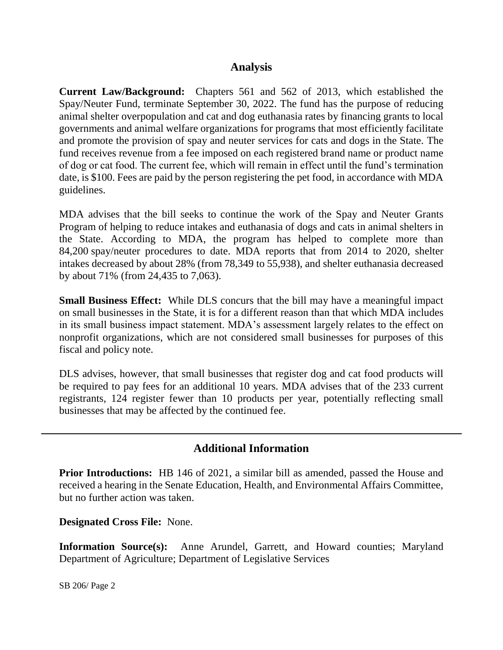# **Analysis**

**Current Law/Background:** Chapters 561 and 562 of 2013, which established the Spay/Neuter Fund, terminate September 30, 2022. The fund has the purpose of reducing animal shelter overpopulation and cat and dog euthanasia rates by financing grants to local governments and animal welfare organizations for programs that most efficiently facilitate and promote the provision of spay and neuter services for cats and dogs in the State. The fund receives revenue from a fee imposed on each registered brand name or product name of dog or cat food. The current fee, which will remain in effect until the fund's termination date, is \$100. Fees are paid by the person registering the pet food, in accordance with MDA guidelines.

MDA advises that the bill seeks to continue the work of the Spay and Neuter Grants Program of helping to reduce intakes and euthanasia of dogs and cats in animal shelters in the State. According to MDA, the program has helped to complete more than 84,200 spay/neuter procedures to date. MDA reports that from 2014 to 2020, shelter intakes decreased by about 28% (from 78,349 to 55,938), and shelter euthanasia decreased by about 71% (from 24,435 to 7,063).

**Small Business Effect:** While DLS concurs that the bill may have a meaningful impact on small businesses in the State, it is for a different reason than that which MDA includes in its small business impact statement. MDA's assessment largely relates to the effect on nonprofit organizations, which are not considered small businesses for purposes of this fiscal and policy note.

DLS advises, however, that small businesses that register dog and cat food products will be required to pay fees for an additional 10 years. MDA advises that of the 233 current registrants, 124 register fewer than 10 products per year, potentially reflecting small businesses that may be affected by the continued fee.

# **Additional Information**

**Prior Introductions:** HB 146 of 2021, a similar bill as amended, passed the House and received a hearing in the Senate Education, Health, and Environmental Affairs Committee, but no further action was taken.

**Designated Cross File:** None.

**Information Source(s):** Anne Arundel, Garrett, and Howard counties; Maryland Department of Agriculture; Department of Legislative Services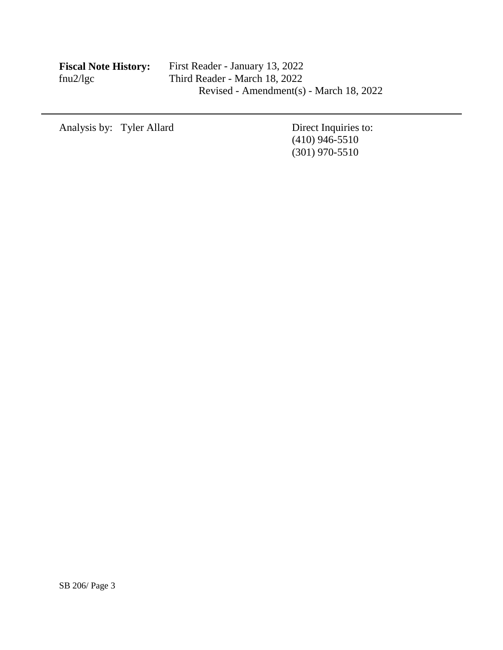| <b>Fiscal Note History:</b> |  |
|-----------------------------|--|
| fnu2/lgc                    |  |

Analysis by: Tyler Allard Direct Inquiries to:

 $(410)$  946-5510 (301) 970-5510